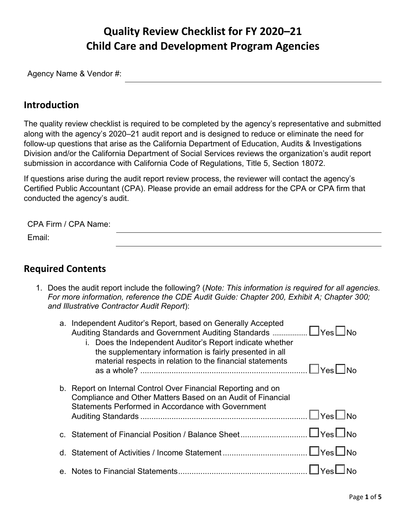# **Quality Review Checklist for FY 2020–21 Child Care and Development Program Agencies**

Agency Name & Vendor #:

#### **Introduction**

The quality review checklist is required to be completed by the agency's representative and submitted along with the agency's 2020–21 audit report and is designed to reduce or eliminate the need for follow-up questions that arise as the California Department of Education, Audits & Investigations Division and/or the California Department of Social Services reviews the organization's audit report submission in accordance with California Code of Regulations, Title 5, Section 18072.

 Certified Public Accountant (CPA). Please provide an email address for the CPA or CPA firm that If questions arise during the audit report review process, the reviewer will contact the agency's

 conducted the agency's audit. CPA Firm / CPA Name: Email:

#### **Required Contents**

1. Does the audit report include the following? (*Note: This information is required for all agencies. For more information, reference the CDE Audit Guide: Chapter 200, Exhibit A; Chapter 300; and Illustrative Contractor Audit Report*):

| a. Independent Auditor's Report, based on Generally Accepted<br>Auditing Standards and Government Auditing Standards  □Yes□No<br>i. Does the Independent Auditor's Report indicate whether<br>the supplementary information is fairly presented in all<br>material respects in relation to the financial statements<br>$\Box$ Yes $\Box$ No |
|---------------------------------------------------------------------------------------------------------------------------------------------------------------------------------------------------------------------------------------------------------------------------------------------------------------------------------------------|
| b. Report on Internal Control Over Financial Reporting and on<br>Compliance and Other Matters Based on an Audit of Financial<br>Statements Performed in Accordance with Government<br>$\Box$ Yes $\Box$ No                                                                                                                                  |
|                                                                                                                                                                                                                                                                                                                                             |
|                                                                                                                                                                                                                                                                                                                                             |
|                                                                                                                                                                                                                                                                                                                                             |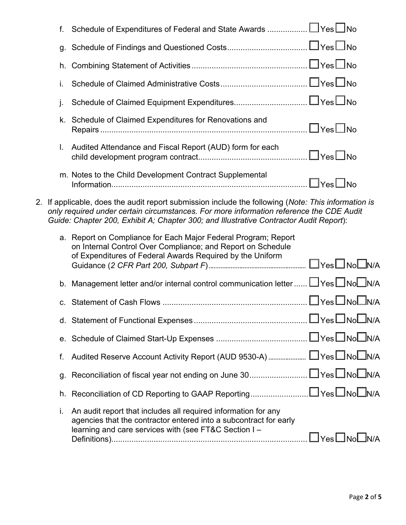| f.                                                                                                                                                                                                                                                                                       | Schedule of Expenditures of Federal and State Awards □ Yes□ No                                                                                                                               |                                 |  |  |  |
|------------------------------------------------------------------------------------------------------------------------------------------------------------------------------------------------------------------------------------------------------------------------------------------|----------------------------------------------------------------------------------------------------------------------------------------------------------------------------------------------|---------------------------------|--|--|--|
|                                                                                                                                                                                                                                                                                          |                                                                                                                                                                                              |                                 |  |  |  |
| h.                                                                                                                                                                                                                                                                                       |                                                                                                                                                                                              |                                 |  |  |  |
| İ.                                                                                                                                                                                                                                                                                       |                                                                                                                                                                                              |                                 |  |  |  |
| j.                                                                                                                                                                                                                                                                                       |                                                                                                                                                                                              |                                 |  |  |  |
|                                                                                                                                                                                                                                                                                          | k. Schedule of Claimed Expenditures for Renovations and                                                                                                                                      |                                 |  |  |  |
| L.                                                                                                                                                                                                                                                                                       | Audited Attendance and Fiscal Report (AUD) form for each                                                                                                                                     |                                 |  |  |  |
|                                                                                                                                                                                                                                                                                          | m. Notes to the Child Development Contract Supplemental                                                                                                                                      |                                 |  |  |  |
| 2. If applicable, does the audit report submission include the following (Note: This information is<br>only required under certain circumstances. For more information reference the CDE Audit<br>Guide: Chapter 200, Exhibit A; Chapter 300; and Illustrative Contractor Audit Report): |                                                                                                                                                                                              |                                 |  |  |  |
|                                                                                                                                                                                                                                                                                          | a. Report on Compliance for Each Major Federal Program; Report<br>on Internal Control Over Compliance; and Report on Schedule<br>of Expenditures of Federal Awards Required by the Uniform   |                                 |  |  |  |
|                                                                                                                                                                                                                                                                                          | b. Management letter and/or internal control communication letter  LVes NoNN/A                                                                                                               |                                 |  |  |  |
|                                                                                                                                                                                                                                                                                          |                                                                                                                                                                                              |                                 |  |  |  |
|                                                                                                                                                                                                                                                                                          |                                                                                                                                                                                              |                                 |  |  |  |
|                                                                                                                                                                                                                                                                                          |                                                                                                                                                                                              |                                 |  |  |  |
| f.                                                                                                                                                                                                                                                                                       |                                                                                                                                                                                              |                                 |  |  |  |
| g.                                                                                                                                                                                                                                                                                       |                                                                                                                                                                                              |                                 |  |  |  |
|                                                                                                                                                                                                                                                                                          |                                                                                                                                                                                              |                                 |  |  |  |
| i.                                                                                                                                                                                                                                                                                       | An audit report that includes all required information for any<br>agencies that the contractor entered into a subcontract for early<br>learning and care services with (see FT&C Section I - | $\Box$ Yes $\Box$ No $\Box$ N/A |  |  |  |
|                                                                                                                                                                                                                                                                                          |                                                                                                                                                                                              |                                 |  |  |  |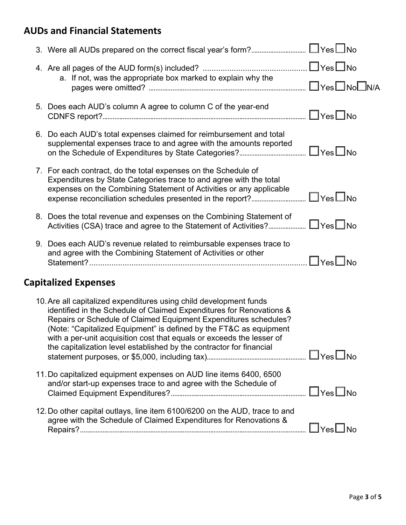## **AUDs and Financial Statements**

| 3. Were all AUDs prepared on the correct fiscal year's form? □ Yes□No                                                                                                                                                                                                                                                                                                                                                                 |                      |
|---------------------------------------------------------------------------------------------------------------------------------------------------------------------------------------------------------------------------------------------------------------------------------------------------------------------------------------------------------------------------------------------------------------------------------------|----------------------|
|                                                                                                                                                                                                                                                                                                                                                                                                                                       |                      |
| a. If not, was the appropriate box marked to explain why the                                                                                                                                                                                                                                                                                                                                                                          |                      |
|                                                                                                                                                                                                                                                                                                                                                                                                                                       |                      |
| 5. Does each AUD's column A agree to column C of the year-end                                                                                                                                                                                                                                                                                                                                                                         | $\Box$ Yes $\Box$ No |
| 6. Do each AUD's total expenses claimed for reimbursement and total<br>supplemental expenses trace to and agree with the amounts reported                                                                                                                                                                                                                                                                                             |                      |
| 7. For each contract, do the total expenses on the Schedule of<br>Expenditures by State Categories trace to and agree with the total<br>expenses on the Combining Statement of Activities or any applicable                                                                                                                                                                                                                           |                      |
| 8. Does the total revenue and expenses on the Combining Statement of<br>Activities (CSA) trace and agree to the Statement of Activities? □Yes□No                                                                                                                                                                                                                                                                                      |                      |
| 9. Does each AUD's revenue related to reimbursable expenses trace to<br>and agree with the Combining Statement of Activities or other                                                                                                                                                                                                                                                                                                 | $\Box$ Yes $\Box$ No |
| <b>Capitalized Expenses</b>                                                                                                                                                                                                                                                                                                                                                                                                           |                      |
| 10. Are all capitalized expenditures using child development funds<br>identified in the Schedule of Claimed Expenditures for Renovations &<br>Repairs or Schedule of Claimed Equipment Expenditures schedules?<br>(Note: "Capitalized Equipment" is defined by the FT&C as equipment<br>with a per-unit acquisition cost that equals or exceeds the lesser of<br>the capitalization level established by the contractor for financial |                      |
| 11. Do capitalized equipment expenses on AUD line items 6400, 6500<br>and/or start-up expenses trace to and agree with the Schedule of                                                                                                                                                                                                                                                                                                | $\Box$ Yes $\Box$ No |
| 12. Do other capital outlays, line item 6100/6200 on the AUD, trace to and<br>agree with the Schedule of Claimed Expenditures for Renovations &                                                                                                                                                                                                                                                                                       | $\Box$ Yes $\Box$ No |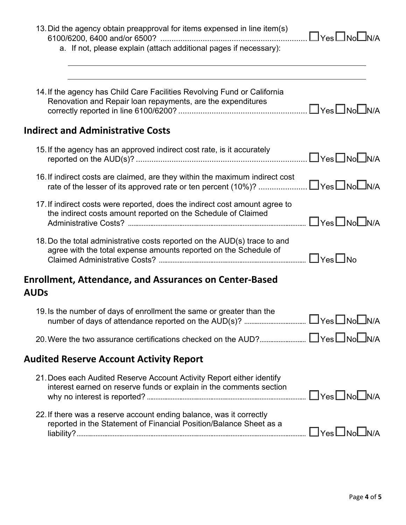| 13. Did the agency obtain preapproval for items expensed in line item(s)<br>a. If not, please explain (attach additional pages if necessary): | □Yes□No□N/A                     |
|-----------------------------------------------------------------------------------------------------------------------------------------------|---------------------------------|
| 14. If the agency has Child Care Facilities Revolving Fund or California<br>Renovation and Repair loan repayments, are the expenditures       | $\Box$ Yes $\Box$ No $\Box$ N/A |
| <b>Indirect and Administrative Costs</b>                                                                                                      |                                 |
| 15. If the agency has an approved indirect cost rate, is it accurately                                                                        | $\Box$ Yes $\Box$ No $\Box$ N/A |
| 16. If indirect costs are claimed, are they within the maximum indirect cost<br>rate of the lesser of its approved rate or ten percent (10%)? | $\Box$ Yes $\Box$ No $\Box$ N/A |
| 17. If indirect costs were reported, does the indirect cost amount agree to<br>the indirect costs amount reported on the Schedule of Claimed  | $\Box$ Yes $\Box$ No $\Box$ N/A |
| 18. Do the total administrative costs reported on the AUD(s) trace to and<br>agree with the total expense amounts reported on the Schedule of | $\Box$ Yes $\Box$ No            |
| <b>Enrollment, Attendance, and Assurances on Center-Based</b><br><b>AUDs</b>                                                                  |                                 |
| 19. Is the number of days of enrollment the same or greater than the                                                                          |                                 |
|                                                                                                                                               |                                 |
| <b>Audited Reserve Account Activity Report</b>                                                                                                |                                 |
| 21. Does each Audited Reserve Account Activity Report either identify<br>interest earned on reserve funds or explain in the comments section  |                                 |
| 22. If there was a reserve account ending balance, was it correctly<br>reported in the Statement of Financial Position/Balance Sheet as a     |                                 |
|                                                                                                                                               |                                 |